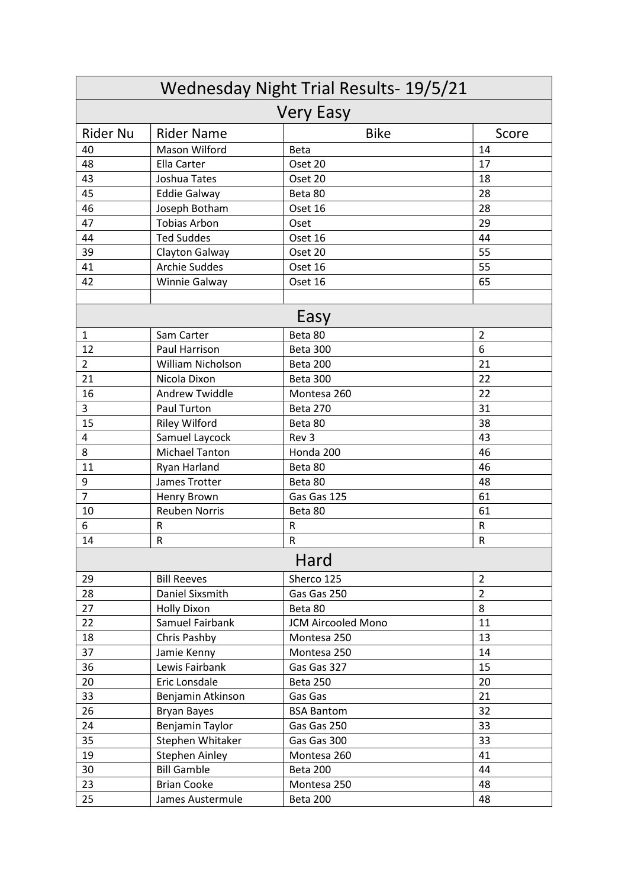| Wednesday Night Trial Results- 19/5/21<br><b>Very Easy</b> |                       |                           |                |  |  |
|------------------------------------------------------------|-----------------------|---------------------------|----------------|--|--|
|                                                            |                       |                           |                |  |  |
| 40                                                         | Mason Wilford         | <b>Beta</b>               | 14             |  |  |
| 48                                                         | Ella Carter           | Oset 20                   | 17             |  |  |
| 43                                                         | Joshua Tates          | Oset 20                   | 18             |  |  |
| 45                                                         | <b>Eddie Galway</b>   | Beta 80                   | 28             |  |  |
| 46                                                         | Joseph Botham         | Oset 16                   | 28             |  |  |
| 47                                                         | <b>Tobias Arbon</b>   | Oset                      | 29             |  |  |
| 44                                                         | <b>Ted Suddes</b>     | Oset 16                   | 44             |  |  |
| 39                                                         | Clayton Galway        | Oset 20                   | 55             |  |  |
| 41                                                         | <b>Archie Suddes</b>  | Oset 16                   | 55             |  |  |
| 42                                                         | Winnie Galway         | Oset 16                   | 65             |  |  |
|                                                            |                       |                           |                |  |  |
| Easy                                                       |                       |                           |                |  |  |
| $\mathbf{1}$                                               | Sam Carter            | Beta 80                   | $\overline{2}$ |  |  |
| 12                                                         | Paul Harrison         | Beta 300                  | 6              |  |  |
| $\overline{2}$                                             | William Nicholson     | Beta 200                  | 21             |  |  |
| 21                                                         | Nicola Dixon          | Beta 300                  | 22             |  |  |
| 16                                                         | <b>Andrew Twiddle</b> | Montesa 260               | 22             |  |  |
| 3                                                          | Paul Turton           | <b>Beta 270</b>           | 31             |  |  |
| 15                                                         | <b>Riley Wilford</b>  | Beta 80                   | 38             |  |  |
| 4                                                          | Samuel Laycock        | Rev 3                     | 43             |  |  |
| 8                                                          | <b>Michael Tanton</b> | Honda 200                 | 46             |  |  |
| 11                                                         | Ryan Harland          | Beta 80                   | 46             |  |  |
| 9                                                          | James Trotter         | Beta 80                   | 48             |  |  |
| $\overline{7}$                                             | Henry Brown           | Gas Gas 125               | 61             |  |  |
| 10                                                         | <b>Reuben Norris</b>  | Beta 80                   | 61             |  |  |
| 6                                                          | R                     | R                         | R              |  |  |
| 14                                                         | ${\sf R}$             | ${\sf R}$                 | ${\sf R}$      |  |  |
| Hard                                                       |                       |                           |                |  |  |
| 29                                                         | <b>Bill Reeves</b>    | Sherco 125                | $\overline{2}$ |  |  |
| 28                                                         | Daniel Sixsmith       | Gas Gas 250               | $\overline{2}$ |  |  |
| 27                                                         | <b>Holly Dixon</b>    | Beta 80                   | 8              |  |  |
| 22                                                         | Samuel Fairbank       | <b>JCM Aircooled Mono</b> | 11             |  |  |
| 18                                                         | Chris Pashby          | Montesa 250               | 13             |  |  |
| 37                                                         | Jamie Kenny           | Montesa 250               | 14             |  |  |
| 36                                                         | Lewis Fairbank        | Gas Gas 327               | 15             |  |  |
| 20                                                         | Eric Lonsdale         | <b>Beta 250</b>           | 20             |  |  |
| 33                                                         | Benjamin Atkinson     | Gas Gas                   | 21             |  |  |
| 26                                                         | <b>Bryan Bayes</b>    | <b>BSA Bantom</b>         | 32             |  |  |
| 24                                                         | Benjamin Taylor       | Gas Gas 250               | 33             |  |  |
| 35                                                         | Stephen Whitaker      | Gas Gas 300               | 33             |  |  |
| 19                                                         | Stephen Ainley        | Montesa 260               | 41             |  |  |
| 30                                                         | <b>Bill Gamble</b>    | Beta 200                  | 44             |  |  |
| 23                                                         | <b>Brian Cooke</b>    | Montesa 250               | 48             |  |  |
| 25                                                         | James Austermule      | Beta 200                  | 48             |  |  |